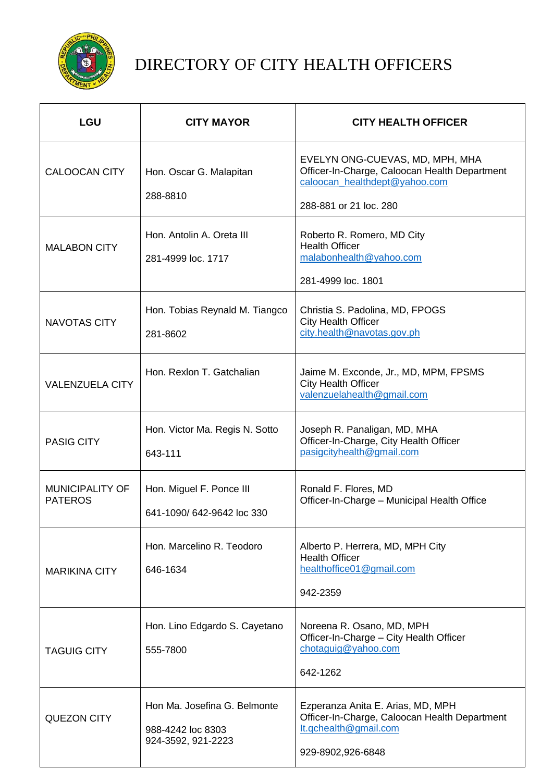

## DIRECTORY OF CITY HEALTH OFFICERS

| <b>LGU</b>                               | <b>CITY MAYOR</b>                                                       | <b>CITY HEALTH OFFICER</b>                                                                                                                  |
|------------------------------------------|-------------------------------------------------------------------------|---------------------------------------------------------------------------------------------------------------------------------------------|
| <b>CALOOCAN CITY</b>                     | Hon. Oscar G. Malapitan<br>288-8810                                     | EVELYN ONG-CUEVAS, MD, MPH, MHA<br>Officer-In-Charge, Caloocan Health Department<br>caloocan_healthdept@yahoo.com<br>288-881 or 21 loc. 280 |
| <b>MALABON CITY</b>                      | Hon. Antolin A. Oreta III<br>281-4999 loc. 1717                         | Roberto R. Romero, MD City<br><b>Health Officer</b><br>malabonhealth@yahoo.com<br>281-4999 loc. 1801                                        |
| <b>NAVOTAS CITY</b>                      | Hon. Tobias Reynald M. Tiangco<br>281-8602                              | Christia S. Padolina, MD, FPOGS<br><b>City Health Officer</b><br>city.health@navotas.gov.ph                                                 |
| <b>VALENZUELA CITY</b>                   | Hon. Rexlon T. Gatchalian                                               | Jaime M. Exconde, Jr., MD, MPM, FPSMS<br><b>City Health Officer</b><br>valenzuelahealth@gmail.com                                           |
| <b>PASIG CITY</b>                        | Hon. Victor Ma. Regis N. Sotto<br>643-111                               | Joseph R. Panaligan, MD, MHA<br>Officer-In-Charge, City Health Officer<br>pasigcityhealth@gmail.com                                         |
| <b>MUNICIPALITY OF</b><br><b>PATEROS</b> | Hon. Miguel F. Ponce III<br>641-1090/ 642-9642 loc 330                  | Ronald F. Flores, MD<br>Officer-In-Charge - Municipal Health Office                                                                         |
| <b>MARIKINA CITY</b>                     | Hon. Marcelino R. Teodoro<br>646-1634                                   | Alberto P. Herrera, MD, MPH City<br><b>Health Officer</b><br>healthoffice01@gmail.com<br>942-2359                                           |
| <b>TAGUIG CITY</b>                       | Hon. Lino Edgardo S. Cayetano<br>555-7800                               | Noreena R. Osano, MD, MPH<br>Officer-In-Charge - City Health Officer<br>chotaguig@yahoo.com<br>642-1262                                     |
| <b>QUEZON CITY</b>                       | Hon Ma. Josefina G. Belmonte<br>988-4242 loc 8303<br>924-3592, 921-2223 | Ezperanza Anita E. Arias, MD, MPH<br>Officer-In-Charge, Caloocan Health Department<br>lt.gchealth@gmail.com<br>929-8902,926-6848            |